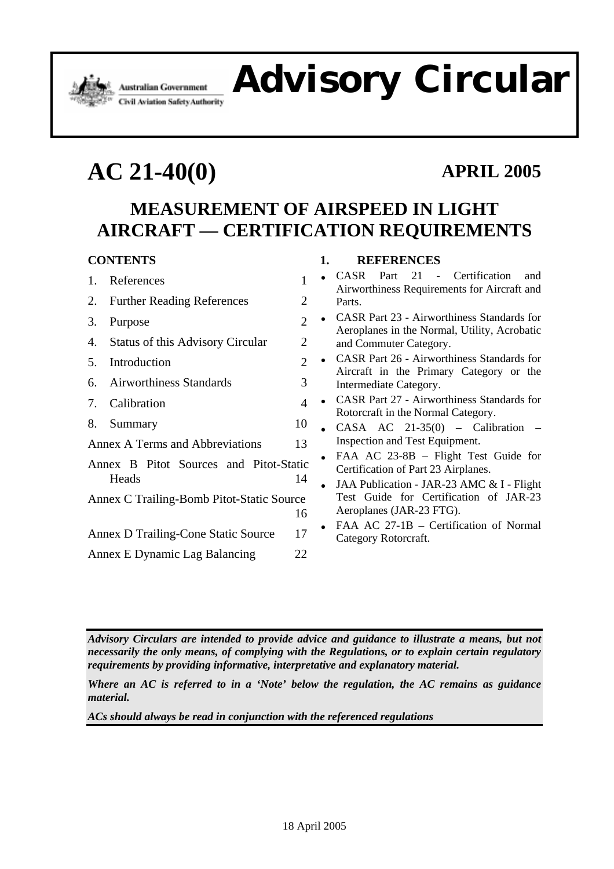

**Advisory Circular**

# **AC 21-40(0) APRIL 2005**

## **MEASUREMENT OF AIRSPEED IN LIGHT AIRCRAFT — CERTIFICATION REQUIREMENTS**

### **CONTENTS**

- 1. References 1
- 2. Further Reading References 2
- 3. Purpose 2
- 4. Status of this Advisory Circular 2
- 5. Introduction 2
- 6. Airworthiness Standards 3
- 7. Calibration 4
- 8. Summary 10
- Annex A Terms and Abbreviations 13
- Annex B Pitot Sources and Pitot-Static Heads 14 Annex C Trailing-Bomb Pitot-Static Source
- 16
- Annex D Trailing-Cone Static Source 17
- Annex E Dynamic Lag Balancing 22

#### **1. REFERENCES**

- CASR Part 21 Certification and Airworthiness Requirements for Aircraft and Parts.
- CASR Part 23 Airworthiness Standards for Aeroplanes in the Normal, Utility, Acrobatic and Commuter Category.
- CASR Part 26 Airworthiness Standards for Aircraft in the Primary Category or the Intermediate Category.
- CASR Part 27 Airworthiness Standards for Rotorcraft in the Normal Category.
- $\bullet$  CASA AC 21-35(0) Calibration Inspection and Test Equipment.
- FAA AC 23-8B Flight Test Guide for Certification of Part 23 Airplanes.
- JAA Publication JAR-23 AMC & I Flight Test Guide for Certification of JAR-23 Aeroplanes (JAR-23 FTG).
- FAA AC 27-1B Certification of Normal Category Rotorcraft.

*Advisory Circulars are intended to provide advice and guidance to illustrate a means, but not necessarily the only means, of complying with the Regulations, or to explain certain regulatory requirements by providing informative, interpretative and explanatory material.* 

*Where an AC is referred to in a 'Note' below the regulation, the AC remains as guidance material.* 

*ACs should always be read in conjunction with the referenced regulations*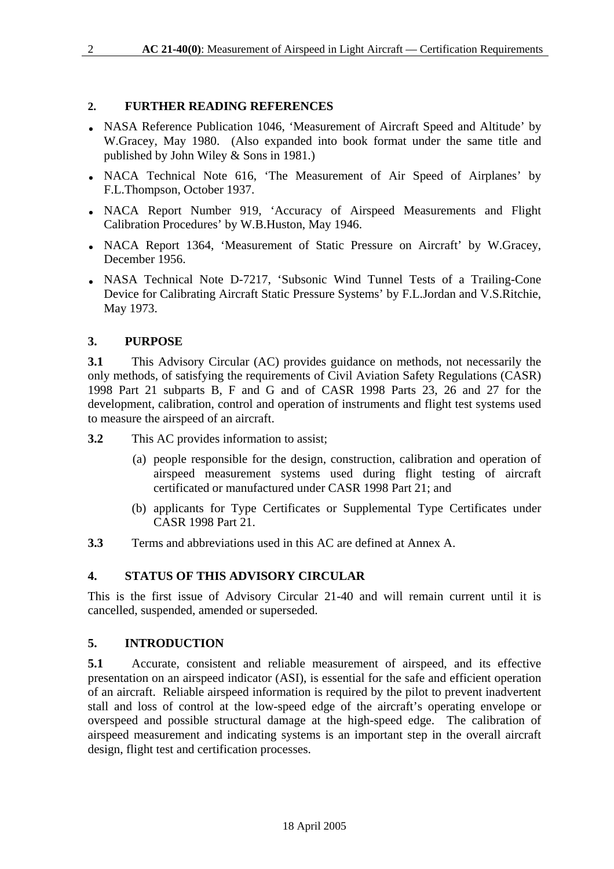#### **2. FURTHER READING REFERENCES**

- NASA Reference Publication 1046, 'Measurement of Aircraft Speed and Altitude' by W.Gracey, May 1980. (Also expanded into book format under the same title and published by John Wiley & Sons in 1981.)
- NACA Technical Note 616, 'The Measurement of Air Speed of Airplanes' by F.L.Thompson, October 1937.
- NACA Report Number 919, 'Accuracy of Airspeed Measurements and Flight Calibration Procedures' by W.B.Huston, May 1946.
- NACA Report 1364, 'Measurement of Static Pressure on Aircraft' by W.Gracey, December 1956.
- NASA Technical Note D-7217, 'Subsonic Wind Tunnel Tests of a Trailing-Cone Device for Calibrating Aircraft Static Pressure Systems' by F.L.Jordan and V.S.Ritchie, May 1973.

#### **3. PURPOSE**

**3.1** This Advisory Circular (AC) provides guidance on methods, not necessarily the only methods, of satisfying the requirements of Civil Aviation Safety Regulations (CASR) 1998 Part 21 subparts B, F and G and of CASR 1998 Parts 23, 26 and 27 for the development, calibration, control and operation of instruments and flight test systems used to measure the airspeed of an aircraft.

**3.2** This AC provides information to assist;

- (a) people responsible for the design, construction, calibration and operation of airspeed measurement systems used during flight testing of aircraft certificated or manufactured under CASR 1998 Part 21; and
- (b) applicants for Type Certificates or Supplemental Type Certificates under CASR 1998 Part 21.
- **3.3** Terms and abbreviations used in this AC are defined at Annex A.

#### **4. STATUS OF THIS ADVISORY CIRCULAR**

This is the first issue of Advisory Circular 21-40 and will remain current until it is cancelled, suspended, amended or superseded.

#### **5. INTRODUCTION**

**5.1** Accurate, consistent and reliable measurement of airspeed, and its effective presentation on an airspeed indicator (ASI), is essential for the safe and efficient operation of an aircraft. Reliable airspeed information is required by the pilot to prevent inadvertent stall and loss of control at the low-speed edge of the aircraft's operating envelope or overspeed and possible structural damage at the high-speed edge. The calibration of airspeed measurement and indicating systems is an important step in the overall aircraft design, flight test and certification processes.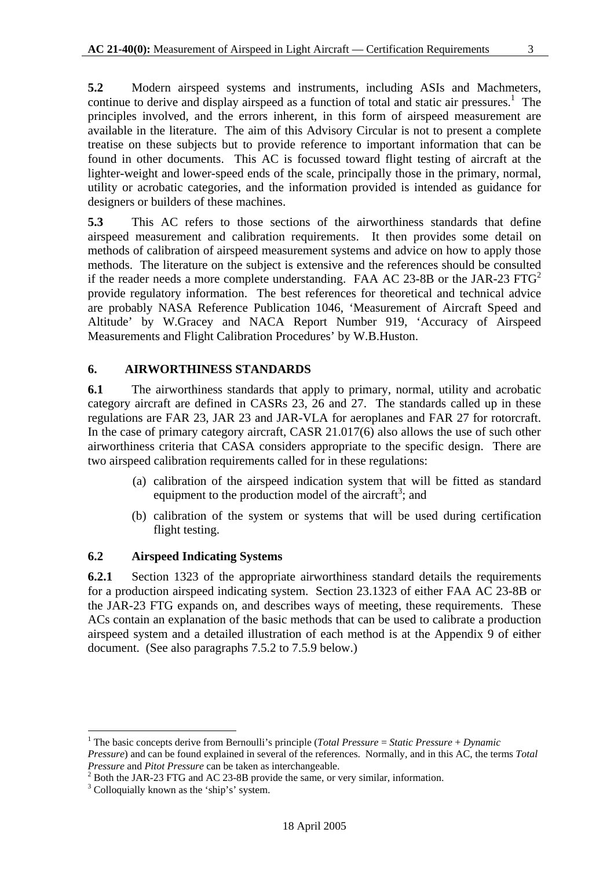**5.2** Modern airspeed systems and instruments, including ASIs and Machmeters, continue to derive and display airspeed as a function of total and static air pressures.<sup>1</sup> The principles involved, and the errors inherent, in this form of airspeed measurement are available in the literature. The aim of this Advisory Circular is not to present a complete treatise on these subjects but to provide reference to important information that can be found in other documents. This AC is focussed toward flight testing of aircraft at the lighter-weight and lower-speed ends of the scale, principally those in the primary, normal, utility or acrobatic categories, and the information provided is intended as guidance for designers or builders of these machines.

**5.3** This AC refers to those sections of the airworthiness standards that define airspeed measurement and calibration requirements. It then provides some detail on methods of calibration of airspeed measurement systems and advice on how to apply those methods. The literature on the subject is extensive and the references should be consulted if the reader needs a more complete understanding. FAA AC 23-8B or the JAR-23  $FTG<sup>2</sup>$ provide regulatory information. The best references for theoretical and technical advice are probably NASA Reference Publication 1046, 'Measurement of Aircraft Speed and Altitude' by W.Gracey and NACA Report Number 919, 'Accuracy of Airspeed Measurements and Flight Calibration Procedures' by W.B.Huston.

#### **6. AIRWORTHINESS STANDARDS**

**6.1** The airworthiness standards that apply to primary, normal, utility and acrobatic category aircraft are defined in CASRs 23, 26 and 27. The standards called up in these regulations are FAR 23, JAR 23 and JAR-VLA for aeroplanes and FAR 27 for rotorcraft. In the case of primary category aircraft, CASR 21.017(6) also allows the use of such other airworthiness criteria that CASA considers appropriate to the specific design. There are two airspeed calibration requirements called for in these regulations:

- (a) calibration of the airspeed indication system that will be fitted as standard equipment to the production model of the aircraft<sup>3</sup>; and
- (b) calibration of the system or systems that will be used during certification flight testing.

#### **6.2 Airspeed Indicating Systems**

**6.2.1** Section 1323 of the appropriate airworthiness standard details the requirements for a production airspeed indicating system. Section 23.1323 of either FAA AC 23-8B or the JAR-23 FTG expands on, and describes ways of meeting, these requirements. These ACs contain an explanation of the basic methods that can be used to calibrate a production airspeed system and a detailed illustration of each method is at the Appendix 9 of either document. (See also paragraphs 7.5.2 to 7.5.9 below.)

<sup>1</sup> The basic concepts derive from Bernoulli's principle (*Total Pressure* = *Static Pressure* + *Dynamic Pressure*) and can be found explained in several of the references. Normally, and in this AC, the terms *Total Pressure* and *Pitot Pressure* can be taken as interchangeable. 2

 $2$  Both the JAR-23 FTG and AC 23-8B provide the same, or very similar, information.

<sup>&</sup>lt;sup>3</sup> Colloquially known as the 'ship's' system.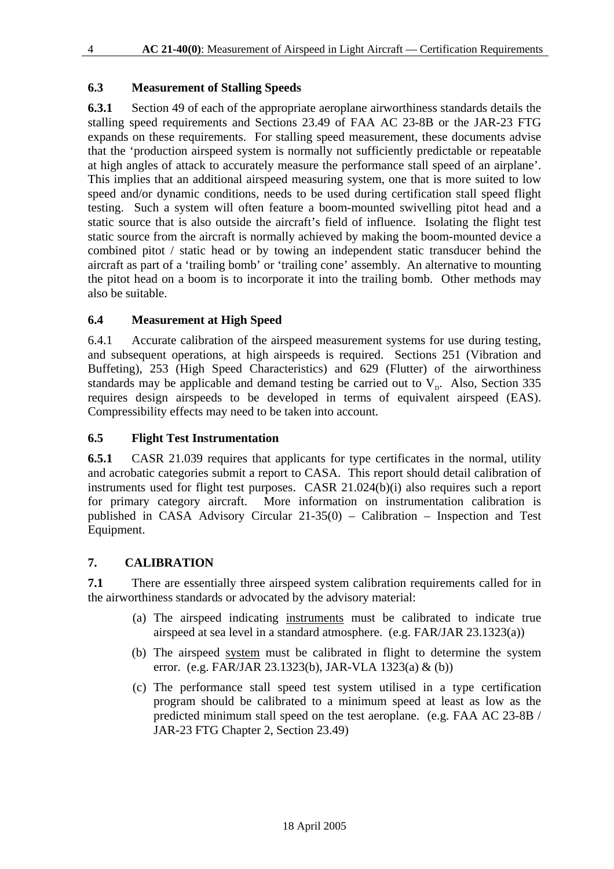#### **6.3 Measurement of Stalling Speeds**

**6.3.1** Section 49 of each of the appropriate aeroplane airworthiness standards details the stalling speed requirements and Sections 23.49 of FAA AC 23-8B or the JAR-23 FTG expands on these requirements. For stalling speed measurement, these documents advise that the 'production airspeed system is normally not sufficiently predictable or repeatable at high angles of attack to accurately measure the performance stall speed of an airplane'. This implies that an additional airspeed measuring system, one that is more suited to low speed and/or dynamic conditions, needs to be used during certification stall speed flight testing. Such a system will often feature a boom-mounted swivelling pitot head and a static source that is also outside the aircraft's field of influence. Isolating the flight test static source from the aircraft is normally achieved by making the boom-mounted device a combined pitot / static head or by towing an independent static transducer behind the aircraft as part of a 'trailing bomb' or 'trailing cone' assembly. An alternative to mounting the pitot head on a boom is to incorporate it into the trailing bomb. Other methods may also be suitable.

#### **6.4 Measurement at High Speed**

6.4.1 Accurate calibration of the airspeed measurement systems for use during testing, and subsequent operations, at high airspeeds is required. Sections 251 (Vibration and Buffeting), 253 (High Speed Characteristics) and 629 (Flutter) of the airworthiness standards may be applicable and demand testing be carried out to  $V_p$ . Also, Section 335 requires design airspeeds to be developed in terms of equivalent airspeed (EAS). Compressibility effects may need to be taken into account.

#### **6.5 Flight Test Instrumentation**

**6.5.1** CASR 21.039 requires that applicants for type certificates in the normal, utility and acrobatic categories submit a report to CASA. This report should detail calibration of instruments used for flight test purposes. CASR 21.024(b)(i) also requires such a report for primary category aircraft. More information on instrumentation calibration is published in CASA Advisory Circular 21-35(0) – Calibration – Inspection and Test Equipment.

#### **7. CALIBRATION**

**7.1** There are essentially three airspeed system calibration requirements called for in the airworthiness standards or advocated by the advisory material:

- (a) The airspeed indicating instruments must be calibrated to indicate true airspeed at sea level in a standard atmosphere. (e.g. FAR/JAR 23.1323(a))
- (b) The airspeed system must be calibrated in flight to determine the system error. (e.g. FAR/JAR 23.1323(b), JAR-VLA 1323(a) & (b))
- (c) The performance stall speed test system utilised in a type certification program should be calibrated to a minimum speed at least as low as the predicted minimum stall speed on the test aeroplane. (e.g. FAA AC 23-8B / JAR-23 FTG Chapter 2, Section 23.49)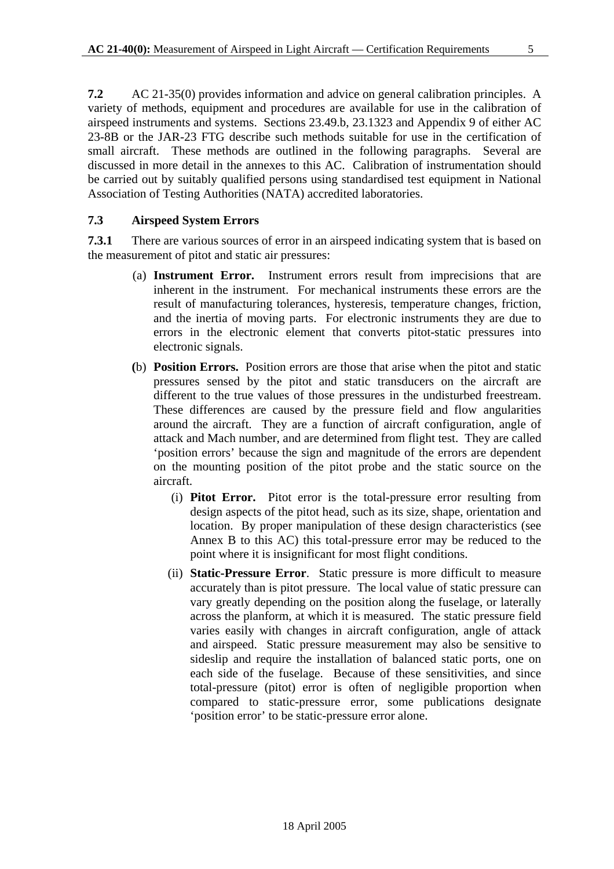**7.2** AC 21-35(0) provides information and advice on general calibration principles. A variety of methods, equipment and procedures are available for use in the calibration of airspeed instruments and systems. Sections 23.49.b, 23.1323 and Appendix 9 of either AC 23-8B or the JAR-23 FTG describe such methods suitable for use in the certification of small aircraft. These methods are outlined in the following paragraphs. Several are discussed in more detail in the annexes to this AC. Calibration of instrumentation should be carried out by suitably qualified persons using standardised test equipment in National Association of Testing Authorities (NATA) accredited laboratories.

#### **7.3 Airspeed System Errors**

**7.3.1** There are various sources of error in an airspeed indicating system that is based on the measurement of pitot and static air pressures:

- (a) **Instrument Error.** Instrument errors result from imprecisions that are inherent in the instrument. For mechanical instruments these errors are the result of manufacturing tolerances, hysteresis, temperature changes, friction, and the inertia of moving parts. For electronic instruments they are due to errors in the electronic element that converts pitot-static pressures into electronic signals.
- **(**b) **Position Errors.** Position errors are those that arise when the pitot and static pressures sensed by the pitot and static transducers on the aircraft are different to the true values of those pressures in the undisturbed freestream. These differences are caused by the pressure field and flow angularities around the aircraft. They are a function of aircraft configuration, angle of attack and Mach number, and are determined from flight test. They are called 'position errors' because the sign and magnitude of the errors are dependent on the mounting position of the pitot probe and the static source on the aircraft.
	- (i) **Pitot Error.** Pitot error is the total-pressure error resulting from design aspects of the pitot head, such as its size, shape, orientation and location. By proper manipulation of these design characteristics (see Annex B to this AC) this total-pressure error may be reduced to the point where it is insignificant for most flight conditions.
	- (ii) **Static-Pressure Error**. Static pressure is more difficult to measure accurately than is pitot pressure. The local value of static pressure can vary greatly depending on the position along the fuselage, or laterally across the planform, at which it is measured. The static pressure field varies easily with changes in aircraft configuration, angle of attack and airspeed. Static pressure measurement may also be sensitive to sideslip and require the installation of balanced static ports, one on each side of the fuselage. Because of these sensitivities, and since total-pressure (pitot) error is often of negligible proportion when compared to static-pressure error, some publications designate 'position error' to be static-pressure error alone.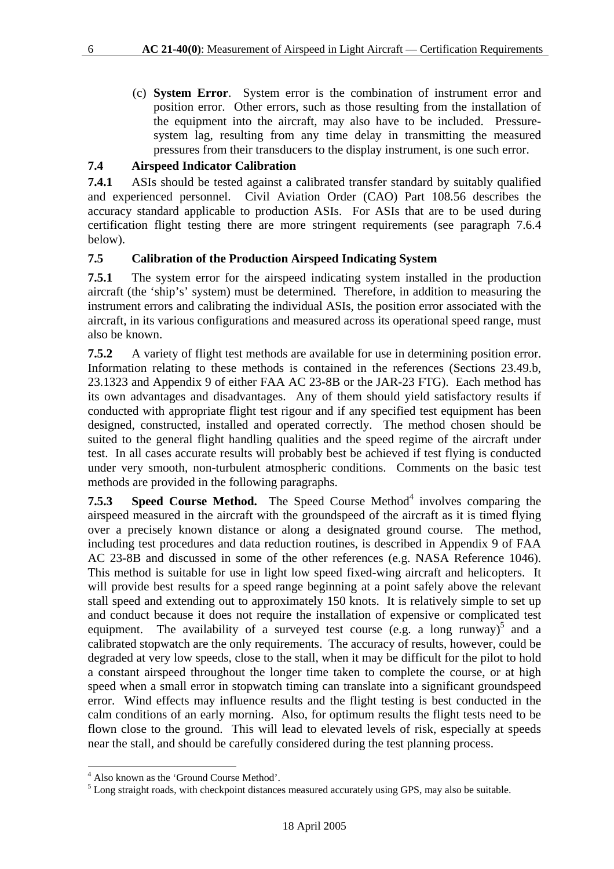(c) **System Error**. System error is the combination of instrument error and position error. Other errors, such as those resulting from the installation of the equipment into the aircraft, may also have to be included. Pressuresystem lag, resulting from any time delay in transmitting the measured pressures from their transducers to the display instrument, is one such error.

#### **7.4 Airspeed Indicator Calibration**

**7.4.1** ASIs should be tested against a calibrated transfer standard by suitably qualified and experienced personnel. Civil Aviation Order (CAO) Part 108.56 describes the accuracy standard applicable to production ASIs. For ASIs that are to be used during certification flight testing there are more stringent requirements (see paragraph 7.6.4 below).

#### **7.5 Calibration of the Production Airspeed Indicating System**

**7.5.1** The system error for the airspeed indicating system installed in the production aircraft (the 'ship's' system) must be determined. Therefore, in addition to measuring the instrument errors and calibrating the individual ASIs, the position error associated with the aircraft, in its various configurations and measured across its operational speed range, must also be known.

**7.5.2** A variety of flight test methods are available for use in determining position error. Information relating to these methods is contained in the references (Sections 23.49.b, 23.1323 and Appendix 9 of either FAA AC 23-8B or the JAR-23 FTG). Each method has its own advantages and disadvantages. Any of them should yield satisfactory results if conducted with appropriate flight test rigour and if any specified test equipment has been designed, constructed, installed and operated correctly. The method chosen should be suited to the general flight handling qualities and the speed regime of the aircraft under test. In all cases accurate results will probably best be achieved if test flying is conducted under very smooth, non-turbulent atmospheric conditions. Comments on the basic test methods are provided in the following paragraphs.

**7.5.3** Speed Course Method. The Speed Course Method<sup>4</sup> involves comparing the airspeed measured in the aircraft with the groundspeed of the aircraft as it is timed flying over a precisely known distance or along a designated ground course. The method, including test procedures and data reduction routines, is described in Appendix 9 of FAA AC 23-8B and discussed in some of the other references (e.g. NASA Reference 1046). This method is suitable for use in light low speed fixed-wing aircraft and helicopters. It will provide best results for a speed range beginning at a point safely above the relevant stall speed and extending out to approximately 150 knots. It is relatively simple to set up and conduct because it does not require the installation of expensive or complicated test equipment. The availability of a surveyed test course (e.g. a long runway)<sup>5</sup> and a calibrated stopwatch are the only requirements. The accuracy of results, however, could be degraded at very low speeds, close to the stall, when it may be difficult for the pilot to hold a constant airspeed throughout the longer time taken to complete the course, or at high speed when a small error in stopwatch timing can translate into a significant groundspeed error. Wind effects may influence results and the flight testing is best conducted in the calm conditions of an early morning. Also, for optimum results the flight tests need to be flown close to the ground. This will lead to elevated levels of risk, especially at speeds near the stall, and should be carefully considered during the test planning process.

<sup>4</sup> Also known as the 'Ground Course Method'.

<sup>&</sup>lt;sup>5</sup> Long straight roads, with checkpoint distances measured accurately using GPS, may also be suitable.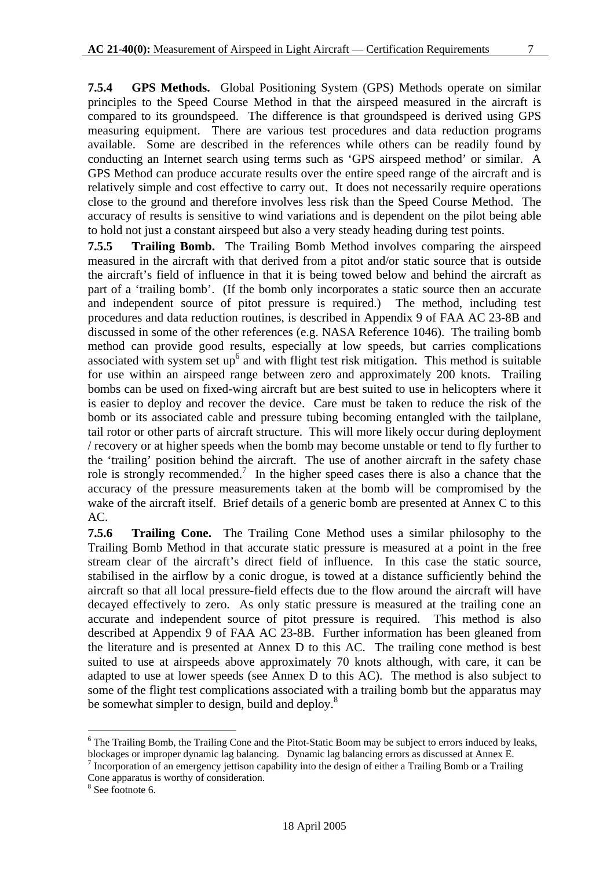**7.5.4 GPS Methods.** Global Positioning System (GPS) Methods operate on similar principles to the Speed Course Method in that the airspeed measured in the aircraft is compared to its groundspeed. The difference is that groundspeed is derived using GPS measuring equipment. There are various test procedures and data reduction programs available. Some are described in the references while others can be readily found by conducting an Internet search using terms such as 'GPS airspeed method' or similar. A GPS Method can produce accurate results over the entire speed range of the aircraft and is relatively simple and cost effective to carry out. It does not necessarily require operations close to the ground and therefore involves less risk than the Speed Course Method. The accuracy of results is sensitive to wind variations and is dependent on the pilot being able to hold not just a constant airspeed but also a very steady heading during test points.

**7.5.5 Trailing Bomb.** The Trailing Bomb Method involves comparing the airspeed measured in the aircraft with that derived from a pitot and/or static source that is outside the aircraft's field of influence in that it is being towed below and behind the aircraft as part of a 'trailing bomb'. (If the bomb only incorporates a static source then an accurate and independent source of pitot pressure is required.) The method, including test procedures and data reduction routines, is described in Appendix 9 of FAA AC 23-8B and discussed in some of the other references (e.g. NASA Reference 1046). The trailing bomb method can provide good results, especially at low speeds, but carries complications associated with system set up<sup>6</sup> and with flight test risk mitigation. This method is suitable for use within an airspeed range between zero and approximately 200 knots. Trailing bombs can be used on fixed-wing aircraft but are best suited to use in helicopters where it is easier to deploy and recover the device. Care must be taken to reduce the risk of the bomb or its associated cable and pressure tubing becoming entangled with the tailplane, tail rotor or other parts of aircraft structure. This will more likely occur during deployment / recovery or at higher speeds when the bomb may become unstable or tend to fly further to the 'trailing' position behind the aircraft. The use of another aircraft in the safety chase role is strongly recommended.<sup>7</sup> In the higher speed cases there is also a chance that the accuracy of the pressure measurements taken at the bomb will be compromised by the wake of the aircraft itself. Brief details of a generic bomb are presented at Annex C to this AC.

**7.5.6 Trailing Cone.** The Trailing Cone Method uses a similar philosophy to the Trailing Bomb Method in that accurate static pressure is measured at a point in the free stream clear of the aircraft's direct field of influence. In this case the static source, stabilised in the airflow by a conic drogue, is towed at a distance sufficiently behind the aircraft so that all local pressure-field effects due to the flow around the aircraft will have decayed effectively to zero. As only static pressure is measured at the trailing cone an accurate and independent source of pitot pressure is required. This method is also described at Appendix 9 of FAA AC 23-8B. Further information has been gleaned from the literature and is presented at Annex D to this AC. The trailing cone method is best suited to use at airspeeds above approximately 70 knots although, with care, it can be adapted to use at lower speeds (see Annex D to this AC). The method is also subject to some of the flight test complications associated with a trailing bomb but the apparatus may be somewhat simpler to design, build and deploy.<sup>8</sup>

<sup>&</sup>lt;sup>6</sup> The Trailing Bomb, the Trailing Cone and the Pitot-Static Boom may be subject to errors induced by leaks, blockages or improper dynamic lag balancing. Dynamic lag balancing errors as discussed at Annex E.

 $\frac{1}{1}$  Incorporation of an emergency jettison capability into the design of either a Trailing Bomb or a Trailing Cone apparatus is worthy of consideration.

<sup>8</sup> See footnote 6.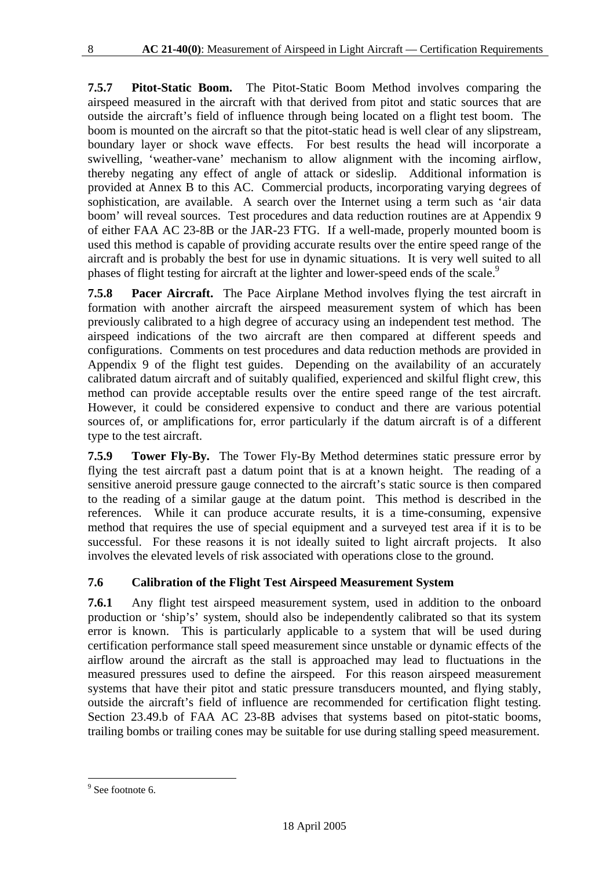**7.5.7 Pitot-Static Boom.** The Pitot-Static Boom Method involves comparing the airspeed measured in the aircraft with that derived from pitot and static sources that are outside the aircraft's field of influence through being located on a flight test boom. The boom is mounted on the aircraft so that the pitot-static head is well clear of any slipstream, boundary layer or shock wave effects. For best results the head will incorporate a swivelling, 'weather-vane' mechanism to allow alignment with the incoming airflow, thereby negating any effect of angle of attack or sideslip. Additional information is provided at Annex B to this AC. Commercial products, incorporating varying degrees of sophistication, are available. A search over the Internet using a term such as 'air data boom' will reveal sources. Test procedures and data reduction routines are at Appendix 9 of either FAA AC 23-8B or the JAR-23 FTG. If a well-made, properly mounted boom is used this method is capable of providing accurate results over the entire speed range of the aircraft and is probably the best for use in dynamic situations. It is very well suited to all phases of flight testing for aircraft at the lighter and lower-speed ends of the scale.<sup>9</sup>

**7.5.8 Pacer Aircraft.** The Pace Airplane Method involves flying the test aircraft in formation with another aircraft the airspeed measurement system of which has been previously calibrated to a high degree of accuracy using an independent test method. The airspeed indications of the two aircraft are then compared at different speeds and configurations. Comments on test procedures and data reduction methods are provided in Appendix 9 of the flight test guides. Depending on the availability of an accurately calibrated datum aircraft and of suitably qualified, experienced and skilful flight crew, this method can provide acceptable results over the entire speed range of the test aircraft. However, it could be considered expensive to conduct and there are various potential sources of, or amplifications for, error particularly if the datum aircraft is of a different type to the test aircraft.

**7.5.9 Tower Fly-By.** The Tower Fly-By Method determines static pressure error by flying the test aircraft past a datum point that is at a known height. The reading of a sensitive aneroid pressure gauge connected to the aircraft's static source is then compared to the reading of a similar gauge at the datum point. This method is described in the references. While it can produce accurate results, it is a time-consuming, expensive method that requires the use of special equipment and a surveyed test area if it is to be successful. For these reasons it is not ideally suited to light aircraft projects. It also involves the elevated levels of risk associated with operations close to the ground.

#### **7.6 Calibration of the Flight Test Airspeed Measurement System**

**7.6.1** Any flight test airspeed measurement system, used in addition to the onboard production or 'ship's' system, should also be independently calibrated so that its system error is known. This is particularly applicable to a system that will be used during certification performance stall speed measurement since unstable or dynamic effects of the airflow around the aircraft as the stall is approached may lead to fluctuations in the measured pressures used to define the airspeed. For this reason airspeed measurement systems that have their pitot and static pressure transducers mounted, and flying stably, outside the aircraft's field of influence are recommended for certification flight testing. Section 23.49.b of FAA AC 23-8B advises that systems based on pitot-static booms, trailing bombs or trailing cones may be suitable for use during stalling speed measurement.

<sup>&</sup>lt;sup>9</sup> See footnote 6.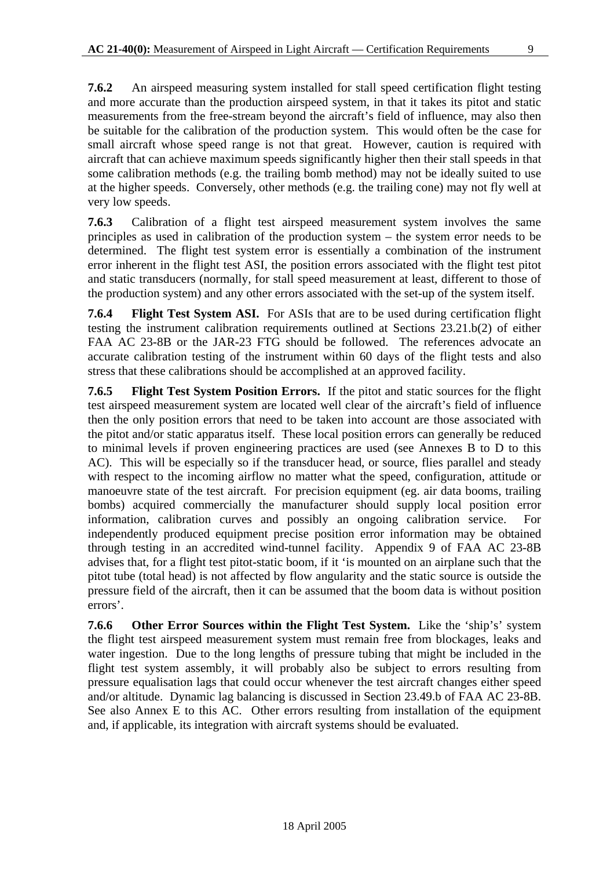**7.6.2** An airspeed measuring system installed for stall speed certification flight testing and more accurate than the production airspeed system, in that it takes its pitot and static measurements from the free-stream beyond the aircraft's field of influence, may also then be suitable for the calibration of the production system. This would often be the case for small aircraft whose speed range is not that great. However, caution is required with aircraft that can achieve maximum speeds significantly higher then their stall speeds in that some calibration methods (e.g. the trailing bomb method) may not be ideally suited to use at the higher speeds. Conversely, other methods (e.g. the trailing cone) may not fly well at very low speeds.

**7.6.3** Calibration of a flight test airspeed measurement system involves the same principles as used in calibration of the production system – the system error needs to be determined. The flight test system error is essentially a combination of the instrument error inherent in the flight test ASI, the position errors associated with the flight test pitot and static transducers (normally, for stall speed measurement at least, different to those of the production system) and any other errors associated with the set-up of the system itself.

**7.6.4 Flight Test System ASI.** For ASIs that are to be used during certification flight testing the instrument calibration requirements outlined at Sections 23.21.b(2) of either FAA AC 23-8B or the JAR-23 FTG should be followed. The references advocate an accurate calibration testing of the instrument within 60 days of the flight tests and also stress that these calibrations should be accomplished at an approved facility.

**7.6.5 Flight Test System Position Errors.** If the pitot and static sources for the flight test airspeed measurement system are located well clear of the aircraft's field of influence then the only position errors that need to be taken into account are those associated with the pitot and/or static apparatus itself. These local position errors can generally be reduced to minimal levels if proven engineering practices are used (see Annexes B to D to this AC). This will be especially so if the transducer head, or source, flies parallel and steady with respect to the incoming airflow no matter what the speed, configuration, attitude or manoeuvre state of the test aircraft. For precision equipment (eg. air data booms, trailing bombs) acquired commercially the manufacturer should supply local position error information, calibration curves and possibly an ongoing calibration service. For independently produced equipment precise position error information may be obtained through testing in an accredited wind-tunnel facility. Appendix 9 of FAA AC 23-8B advises that, for a flight test pitot-static boom, if it 'is mounted on an airplane such that the pitot tube (total head) is not affected by flow angularity and the static source is outside the pressure field of the aircraft, then it can be assumed that the boom data is without position errors'.

**7.6.6 Other Error Sources within the Flight Test System.** Like the 'ship's' system the flight test airspeed measurement system must remain free from blockages, leaks and water ingestion. Due to the long lengths of pressure tubing that might be included in the flight test system assembly, it will probably also be subject to errors resulting from pressure equalisation lags that could occur whenever the test aircraft changes either speed and/or altitude. Dynamic lag balancing is discussed in Section 23.49.b of FAA AC 23-8B. See also Annex E to this AC. Other errors resulting from installation of the equipment and, if applicable, its integration with aircraft systems should be evaluated.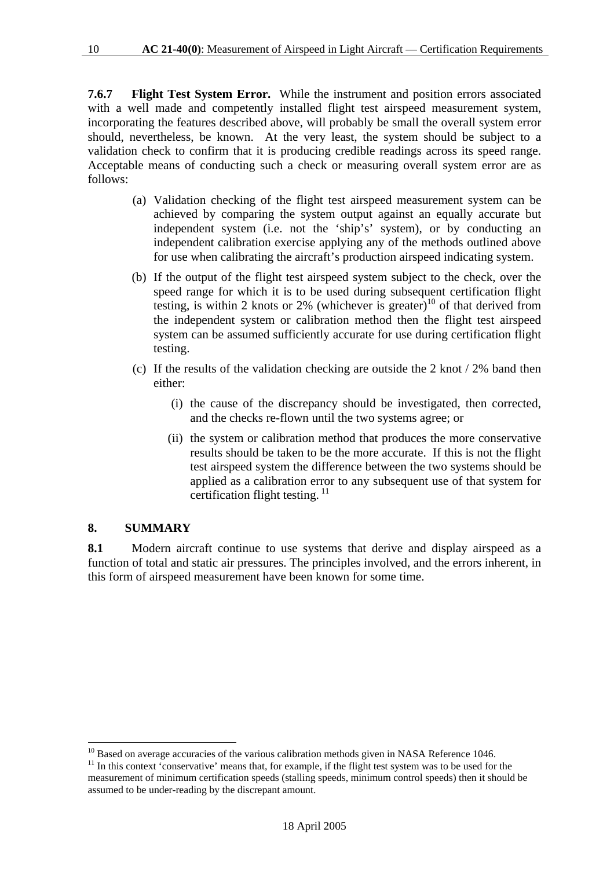**7.6.7 Flight Test System Error.** While the instrument and position errors associated with a well made and competently installed flight test airspeed measurement system, incorporating the features described above, will probably be small the overall system error should, nevertheless, be known. At the very least, the system should be subject to a validation check to confirm that it is producing credible readings across its speed range. Acceptable means of conducting such a check or measuring overall system error are as follows:

- (a) Validation checking of the flight test airspeed measurement system can be achieved by comparing the system output against an equally accurate but independent system (i.e. not the 'ship's' system), or by conducting an independent calibration exercise applying any of the methods outlined above for use when calibrating the aircraft's production airspeed indicating system.
- (b) If the output of the flight test airspeed system subject to the check, over the speed range for which it is to be used during subsequent certification flight testing, is within 2 knots or 2% (whichever is greater)<sup>10</sup> of that derived from the independent system or calibration method then the flight test airspeed system can be assumed sufficiently accurate for use during certification flight testing.
- (c) If the results of the validation checking are outside the 2 knot / 2% band then either:
	- (i) the cause of the discrepancy should be investigated, then corrected, and the checks re-flown until the two systems agree; or
	- (ii) the system or calibration method that produces the more conservative results should be taken to be the more accurate. If this is not the flight test airspeed system the difference between the two systems should be applied as a calibration error to any subsequent use of that system for certification flight testing.  $11$

#### **8. SUMMARY**

 $\overline{a}$ 

**8.1** Modern aircraft continue to use systems that derive and display airspeed as a function of total and static air pressures. The principles involved, and the errors inherent, in this form of airspeed measurement have been known for some time.

<sup>&</sup>lt;sup>10</sup> Based on average accuracies of the various calibration methods given in NASA Reference 1046.<br><sup>11</sup> In this context 'conservative' means that, for example, if the flight test system was to be used for the measurement of minimum certification speeds (stalling speeds, minimum control speeds) then it should be assumed to be under-reading by the discrepant amount.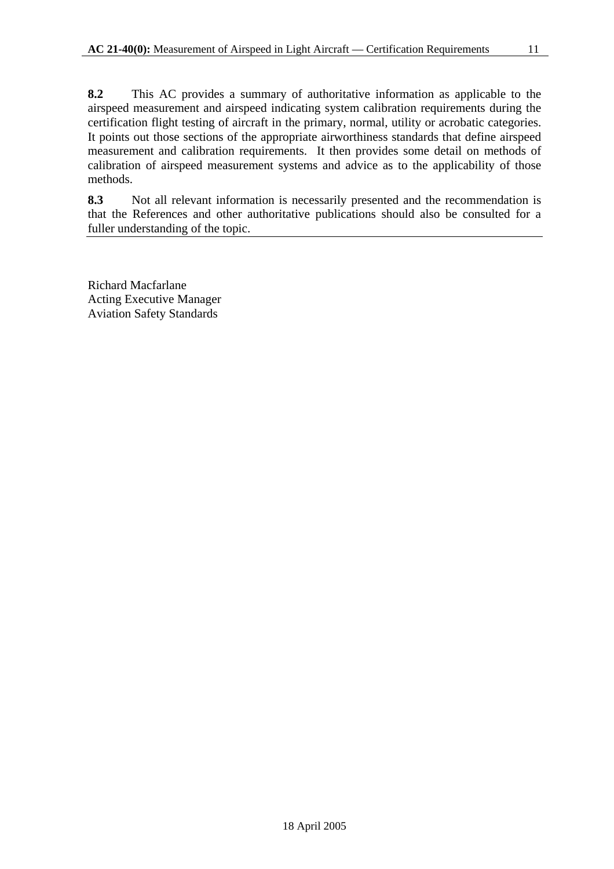**8.2** This AC provides a summary of authoritative information as applicable to the airspeed measurement and airspeed indicating system calibration requirements during the certification flight testing of aircraft in the primary, normal, utility or acrobatic categories. It points out those sections of the appropriate airworthiness standards that define airspeed measurement and calibration requirements. It then provides some detail on methods of calibration of airspeed measurement systems and advice as to the applicability of those methods.

**8.3** Not all relevant information is necessarily presented and the recommendation is that the References and other authoritative publications should also be consulted for a fuller understanding of the topic.

Richard Macfarlane Acting Executive Manager Aviation Safety Standards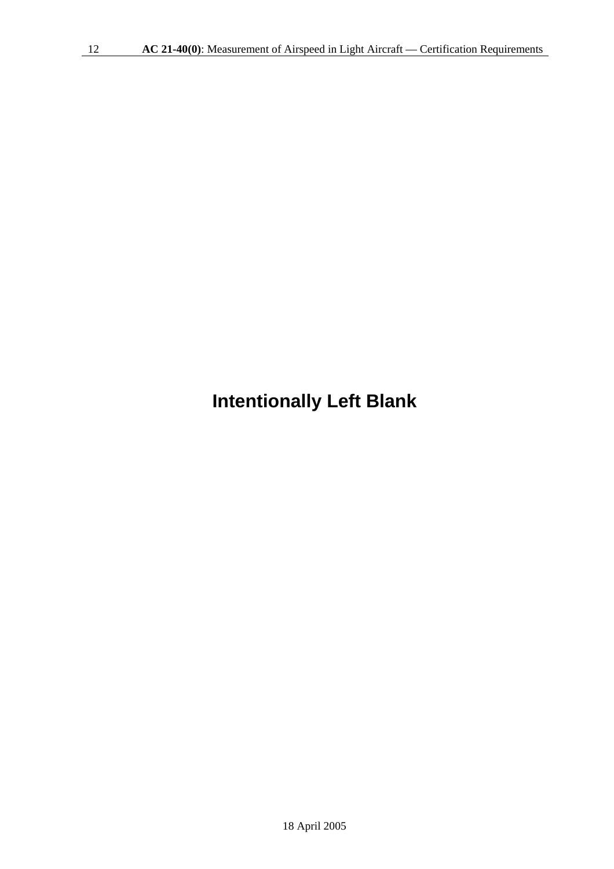## **Intentionally Left Blank**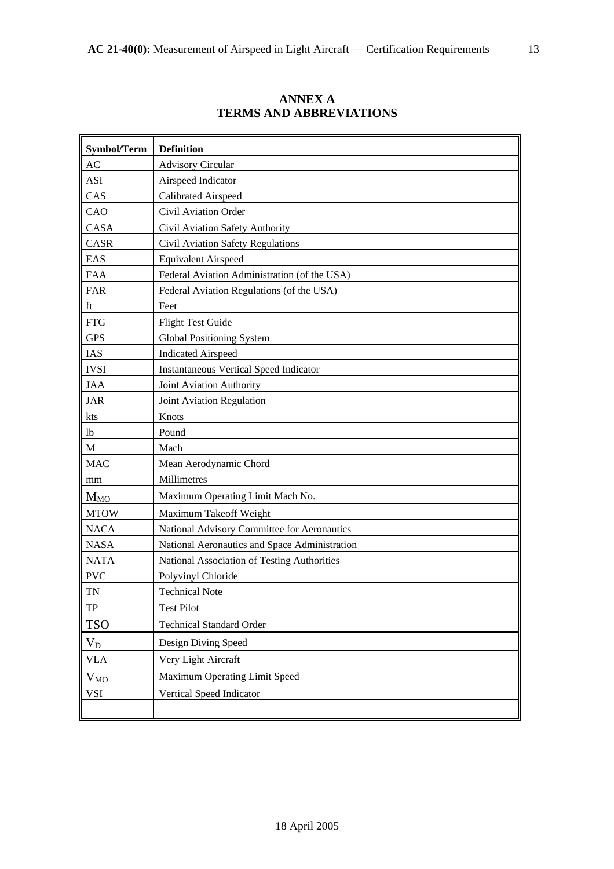| <b>Symbol/Term</b> | <b>Definition</b>                             |
|--------------------|-----------------------------------------------|
| AC                 | <b>Advisory Circular</b>                      |
| <b>ASI</b>         | Airspeed Indicator                            |
| CAS                | Calibrated Airspeed                           |
| CAO                | Civil Aviation Order                          |
| CASA               | Civil Aviation Safety Authority               |
| CASR               | Civil Aviation Safety Regulations             |
| EAS                | <b>Equivalent Airspeed</b>                    |
| <b>FAA</b>         | Federal Aviation Administration (of the USA)  |
| <b>FAR</b>         | Federal Aviation Regulations (of the USA)     |
| ft                 | Feet                                          |
| <b>FTG</b>         | <b>Flight Test Guide</b>                      |
| <b>GPS</b>         | <b>Global Positioning System</b>              |
| IAS                | <b>Indicated Airspeed</b>                     |
| <b>IVSI</b>        | <b>Instantaneous Vertical Speed Indicator</b> |
| <b>JAA</b>         | Joint Aviation Authority                      |
| <b>JAR</b>         | Joint Aviation Regulation                     |
| kts                | Knots                                         |
| <b>lb</b>          | Pound                                         |
| M                  | Mach                                          |
| <b>MAC</b>         | Mean Aerodynamic Chord                        |
| mm                 | Millimetres                                   |
| $M_{MO}$           | Maximum Operating Limit Mach No.              |
| <b>MTOW</b>        | Maximum Takeoff Weight                        |
| <b>NACA</b>        | National Advisory Committee for Aeronautics   |
| <b>NASA</b>        | National Aeronautics and Space Administration |
| <b>NATA</b>        | National Association of Testing Authorities   |
| <b>PVC</b>         | Polyvinyl Chloride                            |
| TN                 | <b>Technical Note</b>                         |
| TP                 | <b>Test Pilot</b>                             |
| <b>TSO</b>         | <b>Technical Standard Order</b>               |
| $V_D$              | Design Diving Speed                           |
| <b>VLA</b>         | Very Light Aircraft                           |
| $V_{MQ}$           | Maximum Operating Limit Speed                 |
| VSI                | Vertical Speed Indicator                      |
|                    |                                               |

### **ANNEX A TERMS AND ABBREVIATIONS**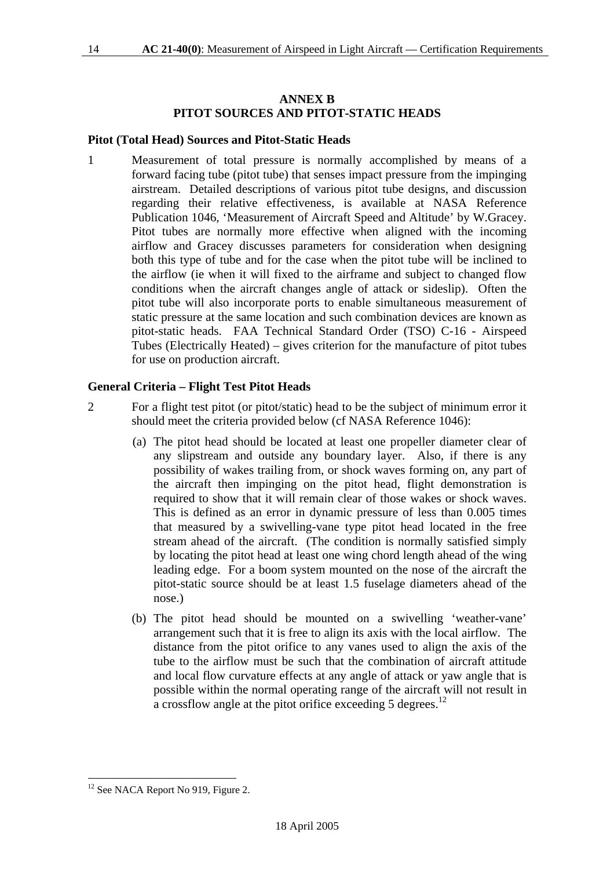#### **ANNEX B PITOT SOURCES AND PITOT-STATIC HEADS**

#### **Pitot (Total Head) Sources and Pitot-Static Heads**

1 Measurement of total pressure is normally accomplished by means of a forward facing tube (pitot tube) that senses impact pressure from the impinging airstream. Detailed descriptions of various pitot tube designs, and discussion regarding their relative effectiveness, is available at NASA Reference Publication 1046, 'Measurement of Aircraft Speed and Altitude' by W.Gracey. Pitot tubes are normally more effective when aligned with the incoming airflow and Gracey discusses parameters for consideration when designing both this type of tube and for the case when the pitot tube will be inclined to the airflow (ie when it will fixed to the airframe and subject to changed flow conditions when the aircraft changes angle of attack or sideslip). Often the pitot tube will also incorporate ports to enable simultaneous measurement of static pressure at the same location and such combination devices are known as pitot-static heads. FAA Technical Standard Order (TSO) C-16 - Airspeed Tubes (Electrically Heated) – gives criterion for the manufacture of pitot tubes for use on production aircraft.

#### **General Criteria – Flight Test Pitot Heads**

- 2 For a flight test pitot (or pitot/static) head to be the subject of minimum error it should meet the criteria provided below (cf NASA Reference 1046):
	- (a) The pitot head should be located at least one propeller diameter clear of any slipstream and outside any boundary layer. Also, if there is any possibility of wakes trailing from, or shock waves forming on, any part of the aircraft then impinging on the pitot head, flight demonstration is required to show that it will remain clear of those wakes or shock waves. This is defined as an error in dynamic pressure of less than 0.005 times that measured by a swivelling-vane type pitot head located in the free stream ahead of the aircraft. (The condition is normally satisfied simply by locating the pitot head at least one wing chord length ahead of the wing leading edge. For a boom system mounted on the nose of the aircraft the pitot-static source should be at least 1.5 fuselage diameters ahead of the nose.)
	- (b) The pitot head should be mounted on a swivelling 'weather-vane' arrangement such that it is free to align its axis with the local airflow. The distance from the pitot orifice to any vanes used to align the axis of the tube to the airflow must be such that the combination of aircraft attitude and local flow curvature effects at any angle of attack or yaw angle that is possible within the normal operating range of the aircraft will not result in a crossflow angle at the pitot orifice exceeding 5 degrees.<sup>12</sup>

 $\overline{a}$ <sup>12</sup> See NACA Report No 919, Figure 2.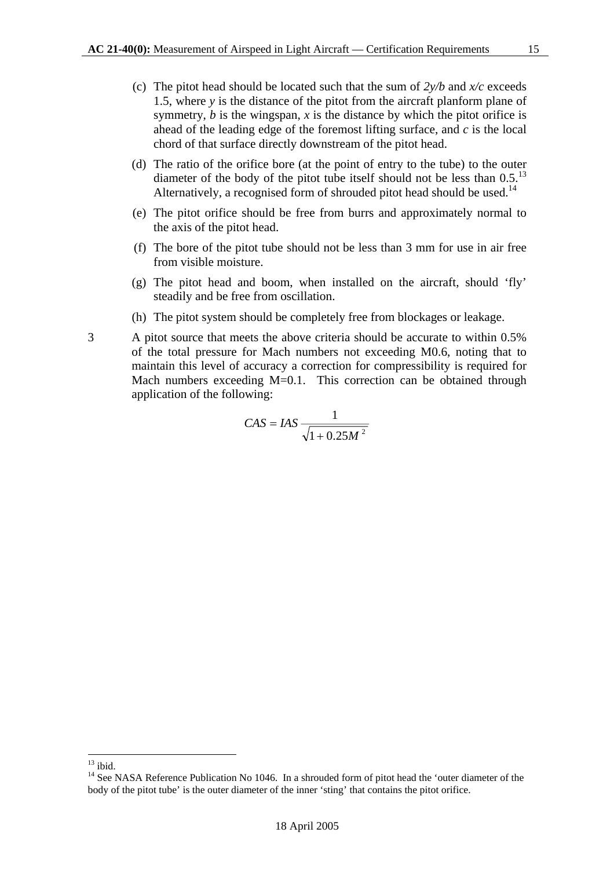- (c) The pitot head should be located such that the sum of  $2\nu/b$  and  $x/c$  exceeds 1.5, where *y* is the distance of the pitot from the aircraft planform plane of symmetry,  $b$  is the wingspan,  $x$  is the distance by which the pitot orifice is ahead of the leading edge of the foremost lifting surface, and *c* is the local chord of that surface directly downstream of the pitot head.
- (d) The ratio of the orifice bore (at the point of entry to the tube) to the outer diameter of the body of the pitot tube itself should not be less than  $0.5$ .<sup>13</sup> Alternatively, a recognised form of shrouded pitot head should be used.<sup>14</sup>
- (e) The pitot orifice should be free from burrs and approximately normal to the axis of the pitot head.
- (f) The bore of the pitot tube should not be less than 3 mm for use in air free from visible moisture.
- (g) The pitot head and boom, when installed on the aircraft, should 'fly' steadily and be free from oscillation.
- (h) The pitot system should be completely free from blockages or leakage.
- 3 A pitot source that meets the above criteria should be accurate to within 0.5% of the total pressure for Mach numbers not exceeding M0.6, noting that to maintain this level of accuracy a correction for compressibility is required for Mach numbers exceeding M=0.1. This correction can be obtained through application of the following:

$$
CAS = IAS \frac{1}{\sqrt{1 + 0.25M^2}}
$$

 $13$  ibid.

<sup>&</sup>lt;sup>14</sup> See NASA Reference Publication No 1046. In a shrouded form of pitot head the 'outer diameter of the body of the pitot tube' is the outer diameter of the inner 'sting' that contains the pitot orifice.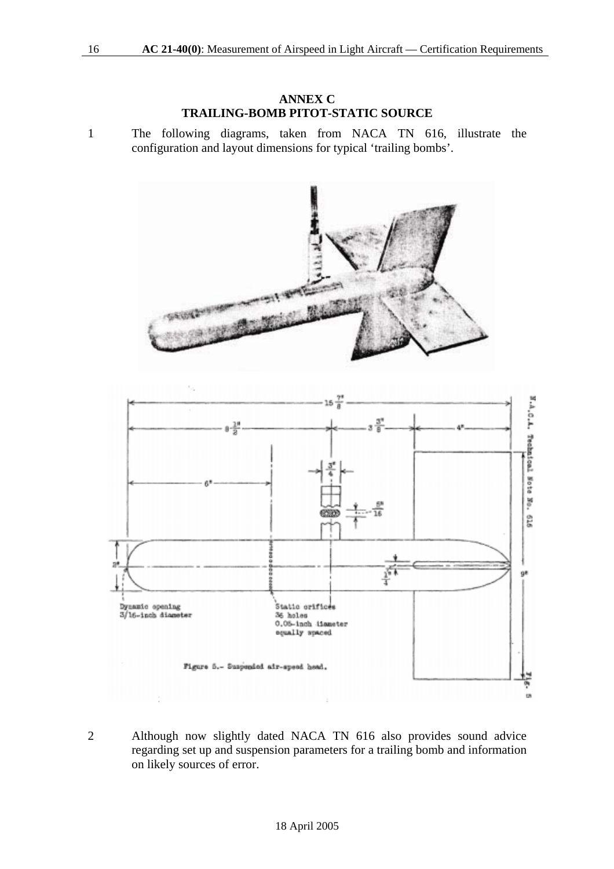#### **ANNEX C TRAILING-BOMB PITOT-STATIC SOURCE**

1 The following diagrams, taken from NACA TN 616, illustrate the configuration and layout dimensions for typical 'trailing bombs'.



2 Although now slightly dated NACA TN 616 also provides sound advice regarding set up and suspension parameters for a trailing bomb and information on likely sources of error.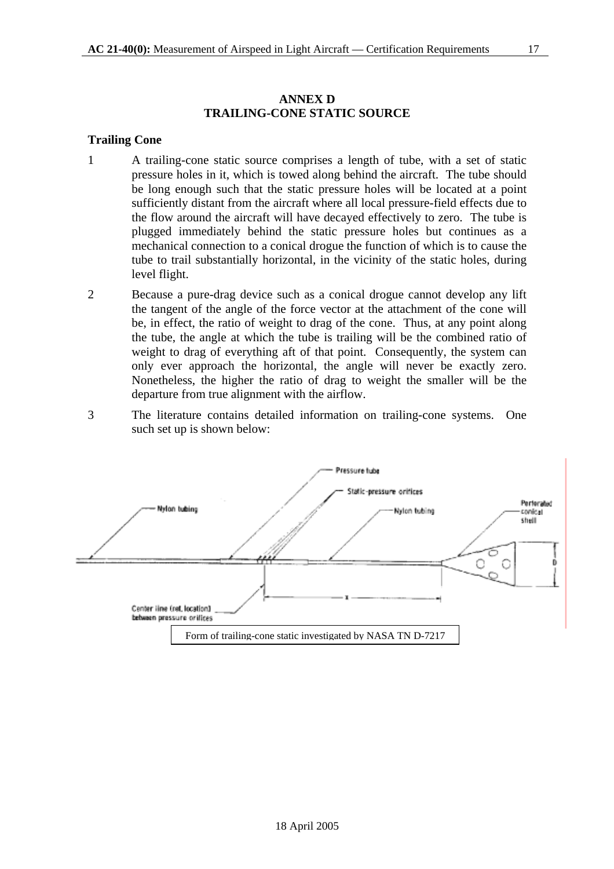#### **ANNEX D TRAILING-CONE STATIC SOURCE**

#### **Trailing Cone**

- 1 A trailing-cone static source comprises a length of tube, with a set of static pressure holes in it, which is towed along behind the aircraft. The tube should be long enough such that the static pressure holes will be located at a point sufficiently distant from the aircraft where all local pressure-field effects due to the flow around the aircraft will have decayed effectively to zero. The tube is plugged immediately behind the static pressure holes but continues as a mechanical connection to a conical drogue the function of which is to cause the tube to trail substantially horizontal, in the vicinity of the static holes, during level flight.
- 2 Because a pure-drag device such as a conical drogue cannot develop any lift the tangent of the angle of the force vector at the attachment of the cone will be, in effect, the ratio of weight to drag of the cone. Thus, at any point along the tube, the angle at which the tube is trailing will be the combined ratio of weight to drag of everything aft of that point. Consequently, the system can only ever approach the horizontal, the angle will never be exactly zero. Nonetheless, the higher the ratio of drag to weight the smaller will be the departure from true alignment with the airflow.
- 3 The literature contains detailed information on trailing-cone systems. One such set up is shown below:

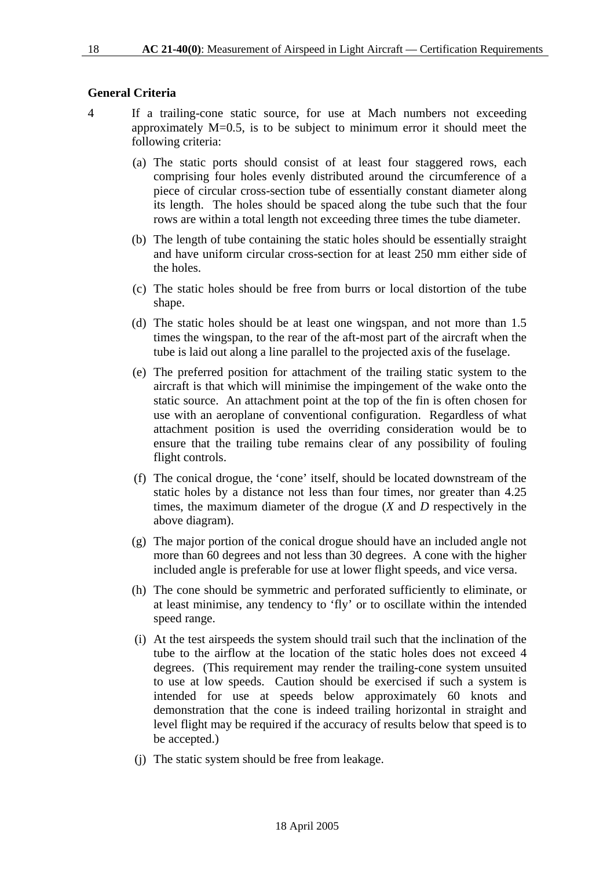#### **General Criteria**

- 4 If a trailing-cone static source, for use at Mach numbers not exceeding approximately M=0.5, is to be subject to minimum error it should meet the following criteria:
	- (a) The static ports should consist of at least four staggered rows, each comprising four holes evenly distributed around the circumference of a piece of circular cross-section tube of essentially constant diameter along its length. The holes should be spaced along the tube such that the four rows are within a total length not exceeding three times the tube diameter.
	- (b) The length of tube containing the static holes should be essentially straight and have uniform circular cross-section for at least 250 mm either side of the holes.
	- (c) The static holes should be free from burrs or local distortion of the tube shape.
	- (d) The static holes should be at least one wingspan, and not more than 1.5 times the wingspan, to the rear of the aft-most part of the aircraft when the tube is laid out along a line parallel to the projected axis of the fuselage.
	- (e) The preferred position for attachment of the trailing static system to the aircraft is that which will minimise the impingement of the wake onto the static source. An attachment point at the top of the fin is often chosen for use with an aeroplane of conventional configuration. Regardless of what attachment position is used the overriding consideration would be to ensure that the trailing tube remains clear of any possibility of fouling flight controls.
	- (f) The conical drogue, the 'cone' itself, should be located downstream of the static holes by a distance not less than four times, nor greater than 4.25 times, the maximum diameter of the drogue (*X* and *D* respectively in the above diagram).
	- (g) The major portion of the conical drogue should have an included angle not more than 60 degrees and not less than 30 degrees. A cone with the higher included angle is preferable for use at lower flight speeds, and vice versa.
	- (h) The cone should be symmetric and perforated sufficiently to eliminate, or at least minimise, any tendency to 'fly' or to oscillate within the intended speed range.
	- (i) At the test airspeeds the system should trail such that the inclination of the tube to the airflow at the location of the static holes does not exceed 4 degrees. (This requirement may render the trailing-cone system unsuited to use at low speeds. Caution should be exercised if such a system is intended for use at speeds below approximately 60 knots and demonstration that the cone is indeed trailing horizontal in straight and level flight may be required if the accuracy of results below that speed is to be accepted.)
	- (j) The static system should be free from leakage.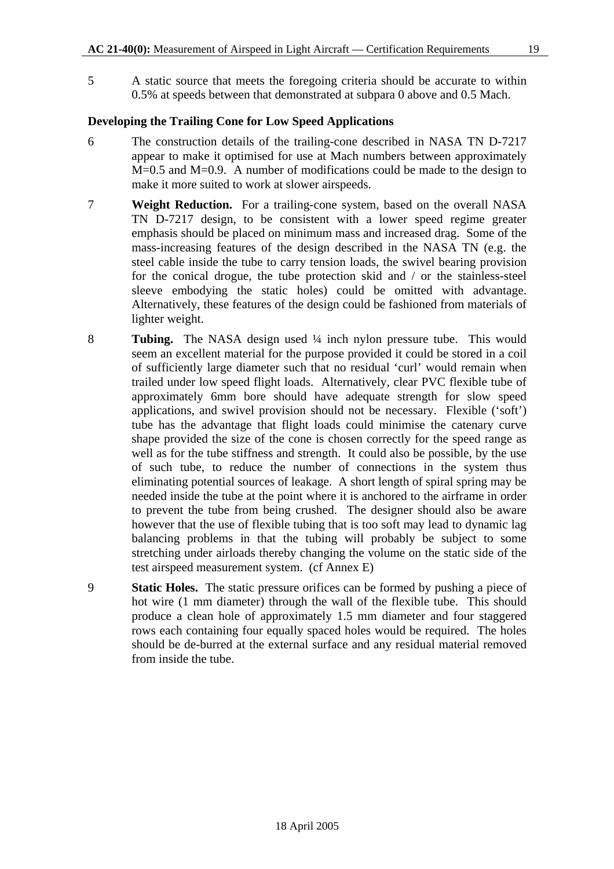5 A static source that meets the foregoing criteria should be accurate to within 0.5% at speeds between that demonstrated at subpara 0 above and 0.5 Mach.

#### **Developing the Trailing Cone for Low Speed Applications**

- 6 The construction details of the trailing-cone described in NASA TN D-7217 appear to make it optimised for use at Mach numbers between approximately M=0.5 and M=0.9. A number of modifications could be made to the design to make it more suited to work at slower airspeeds.
- 7 **Weight Reduction.** For a trailing-cone system, based on the overall NASA TN D-7217 design, to be consistent with a lower speed regime greater emphasis should be placed on minimum mass and increased drag. Some of the mass-increasing features of the design described in the NASA TN (e.g. the steel cable inside the tube to carry tension loads, the swivel bearing provision for the conical drogue, the tube protection skid and / or the stainless-steel sleeve embodying the static holes) could be omitted with advantage. Alternatively, these features of the design could be fashioned from materials of lighter weight.
- 8 **Tubing.** The NASA design used ¼ inch nylon pressure tube. This would seem an excellent material for the purpose provided it could be stored in a coil of sufficiently large diameter such that no residual 'curl' would remain when trailed under low speed flight loads. Alternatively, clear PVC flexible tube of approximately 6mm bore should have adequate strength for slow speed applications, and swivel provision should not be necessary. Flexible ('soft') tube has the advantage that flight loads could minimise the catenary curve shape provided the size of the cone is chosen correctly for the speed range as well as for the tube stiffness and strength. It could also be possible, by the use of such tube, to reduce the number of connections in the system thus eliminating potential sources of leakage. A short length of spiral spring may be needed inside the tube at the point where it is anchored to the airframe in order to prevent the tube from being crushed. The designer should also be aware however that the use of flexible tubing that is too soft may lead to dynamic lag balancing problems in that the tubing will probably be subject to some stretching under airloads thereby changing the volume on the static side of the test airspeed measurement system. (cf Annex E)
- 9 **Static Holes.** The static pressure orifices can be formed by pushing a piece of hot wire (1 mm diameter) through the wall of the flexible tube. This should produce a clean hole of approximately 1.5 mm diameter and four staggered rows each containing four equally spaced holes would be required. The holes should be de-burred at the external surface and any residual material removed from inside the tube.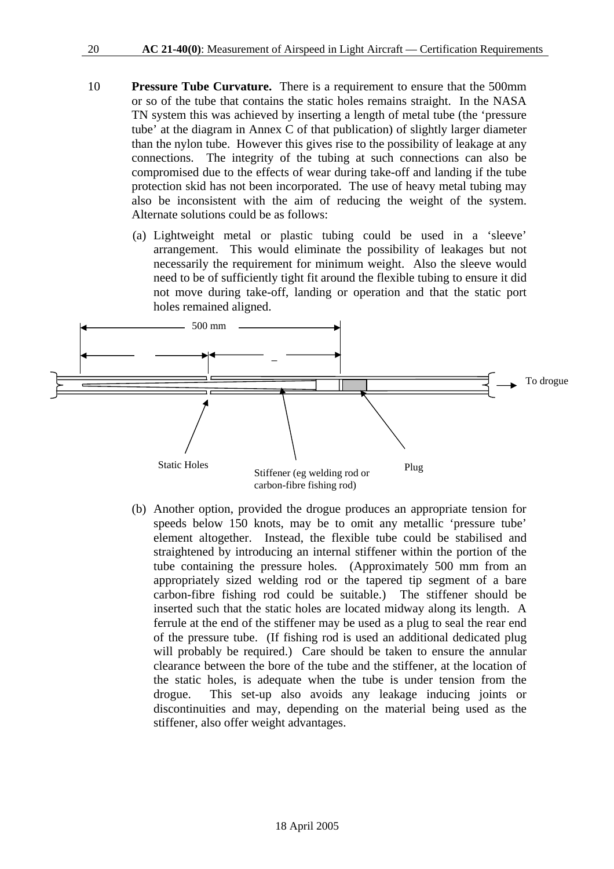- 10 **Pressure Tube Curvature.** There is a requirement to ensure that the 500mm or so of the tube that contains the static holes remains straight. In the NASA TN system this was achieved by inserting a length of metal tube (the 'pressure tube' at the diagram in Annex C of that publication) of slightly larger diameter than the nylon tube. However this gives rise to the possibility of leakage at any connections. The integrity of the tubing at such connections can also be compromised due to the effects of wear during take-off and landing if the tube protection skid has not been incorporated. The use of heavy metal tubing may also be inconsistent with the aim of reducing the weight of the system. Alternate solutions could be as follows:
	- (a) Lightweight metal or plastic tubing could be used in a 'sleeve' arrangement. This would eliminate the possibility of leakages but not necessarily the requirement for minimum weight. Also the sleeve would need to be of sufficiently tight fit around the flexible tubing to ensure it did not move during take-off, landing or operation and that the static port holes remained aligned.



 (b) Another option, provided the drogue produces an appropriate tension for speeds below 150 knots, may be to omit any metallic 'pressure tube' element altogether. Instead, the flexible tube could be stabilised and straightened by introducing an internal stiffener within the portion of the tube containing the pressure holes. (Approximately 500 mm from an appropriately sized welding rod or the tapered tip segment of a bare carbon-fibre fishing rod could be suitable.) The stiffener should be inserted such that the static holes are located midway along its length. A ferrule at the end of the stiffener may be used as a plug to seal the rear end of the pressure tube. (If fishing rod is used an additional dedicated plug will probably be required.) Care should be taken to ensure the annular clearance between the bore of the tube and the stiffener, at the location of the static holes, is adequate when the tube is under tension from the drogue. This set-up also avoids any leakage inducing joints or discontinuities and may, depending on the material being used as the stiffener, also offer weight advantages.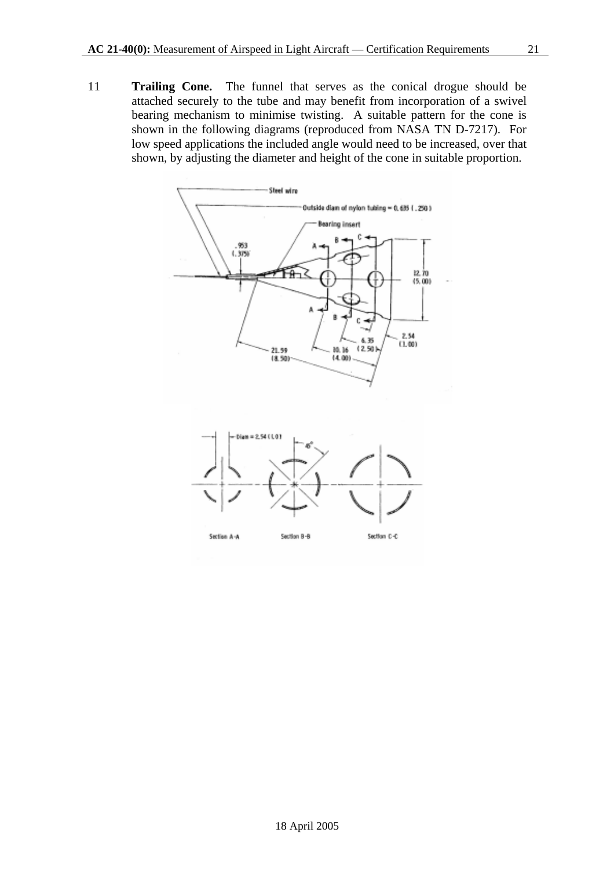11 **Trailing Cone.** The funnel that serves as the conical drogue should be attached securely to the tube and may benefit from incorporation of a swivel bearing mechanism to minimise twisting. A suitable pattern for the cone is shown in the following diagrams (reproduced from NASA TN D-7217). For low speed applications the included angle would need to be increased, over that shown, by adjusting the diameter and height of the cone in suitable proportion.



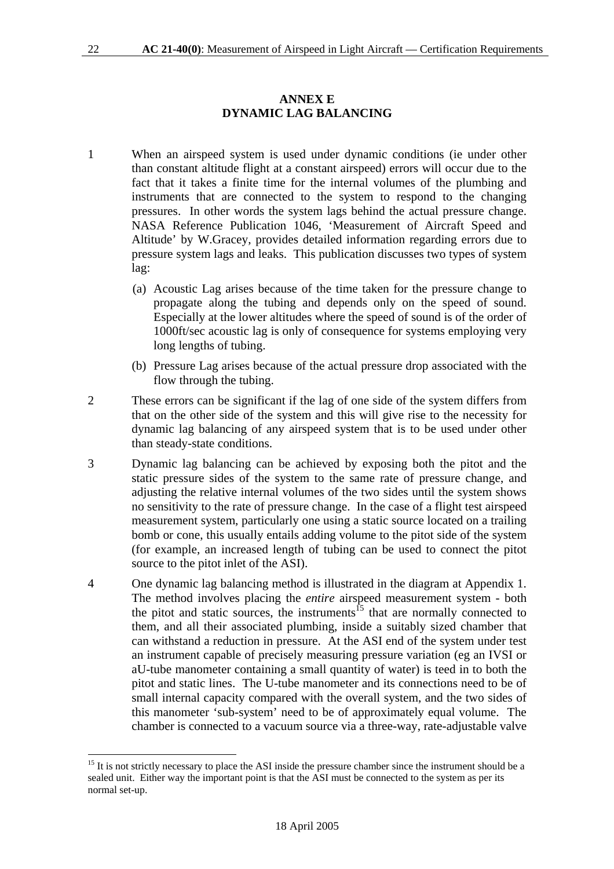#### **ANNEX E DYNAMIC LAG BALANCING**

- 1 When an airspeed system is used under dynamic conditions (ie under other than constant altitude flight at a constant airspeed) errors will occur due to the fact that it takes a finite time for the internal volumes of the plumbing and instruments that are connected to the system to respond to the changing pressures. In other words the system lags behind the actual pressure change. NASA Reference Publication 1046, 'Measurement of Aircraft Speed and Altitude' by W.Gracey, provides detailed information regarding errors due to pressure system lags and leaks. This publication discusses two types of system lag:
	- (a) Acoustic Lag arises because of the time taken for the pressure change to propagate along the tubing and depends only on the speed of sound. Especially at the lower altitudes where the speed of sound is of the order of 1000ft/sec acoustic lag is only of consequence for systems employing very long lengths of tubing.
	- (b) Pressure Lag arises because of the actual pressure drop associated with the flow through the tubing.
- 2 These errors can be significant if the lag of one side of the system differs from that on the other side of the system and this will give rise to the necessity for dynamic lag balancing of any airspeed system that is to be used under other than steady-state conditions.
- 3 Dynamic lag balancing can be achieved by exposing both the pitot and the static pressure sides of the system to the same rate of pressure change, and adjusting the relative internal volumes of the two sides until the system shows no sensitivity to the rate of pressure change. In the case of a flight test airspeed measurement system, particularly one using a static source located on a trailing bomb or cone, this usually entails adding volume to the pitot side of the system (for example, an increased length of tubing can be used to connect the pitot source to the pitot inlet of the ASI).
- 4 One dynamic lag balancing method is illustrated in the diagram at Appendix 1. The method involves placing the *entire* airspeed measurement system - both the pitot and static sources, the instruments<sup>15</sup> that are normally connected to them, and all their associated plumbing, inside a suitably sized chamber that can withstand a reduction in pressure. At the ASI end of the system under test an instrument capable of precisely measuring pressure variation (eg an IVSI or aU-tube manometer containing a small quantity of water) is teed in to both the pitot and static lines. The U-tube manometer and its connections need to be of small internal capacity compared with the overall system, and the two sides of this manometer 'sub-system' need to be of approximately equal volume. The chamber is connected to a vacuum source via a three-way, rate-adjustable valve

<sup>&</sup>lt;sup>15</sup> It is not strictly necessary to place the ASI inside the pressure chamber since the instrument should be a sealed unit. Either way the important point is that the ASI must be connected to the system as per its normal set-up.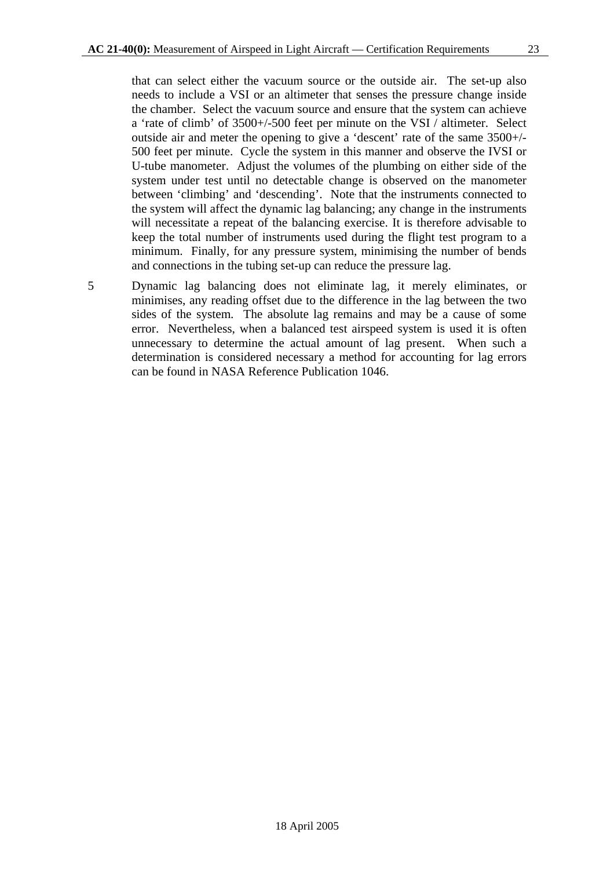that can select either the vacuum source or the outside air. The set-up also needs to include a VSI or an altimeter that senses the pressure change inside the chamber. Select the vacuum source and ensure that the system can achieve a 'rate of climb' of 3500+/-500 feet per minute on the VSI / altimeter. Select outside air and meter the opening to give a 'descent' rate of the same 3500+/- 500 feet per minute. Cycle the system in this manner and observe the IVSI or U-tube manometer. Adjust the volumes of the plumbing on either side of the system under test until no detectable change is observed on the manometer between 'climbing' and 'descending'. Note that the instruments connected to the system will affect the dynamic lag balancing; any change in the instruments will necessitate a repeat of the balancing exercise. It is therefore advisable to keep the total number of instruments used during the flight test program to a minimum. Finally, for any pressure system, minimising the number of bends and connections in the tubing set-up can reduce the pressure lag.

5 Dynamic lag balancing does not eliminate lag, it merely eliminates, or minimises, any reading offset due to the difference in the lag between the two sides of the system. The absolute lag remains and may be a cause of some error. Nevertheless, when a balanced test airspeed system is used it is often unnecessary to determine the actual amount of lag present. When such a determination is considered necessary a method for accounting for lag errors can be found in NASA Reference Publication 1046.